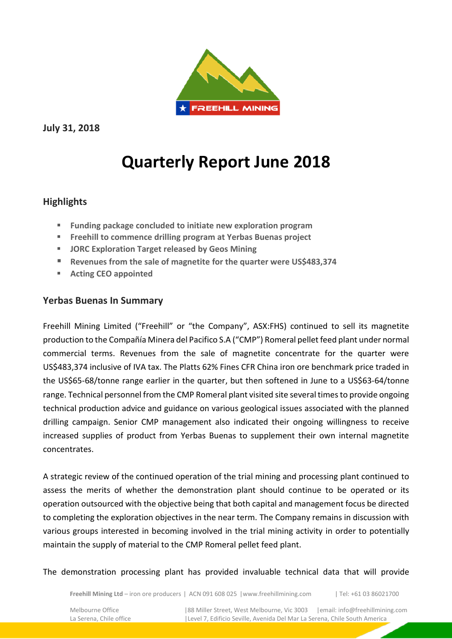

**July 31, 2018** 

# **Quarterly Report June 2018**

## **Highlights**

- **Funding package concluded to initiate new exploration program**
- **Freehill to commence drilling program at Yerbas Buenas project**
- **JORC Exploration Target released by Geos Mining**
- **Revenues from the sale of magnetite for the quarter were US\$483,374**
- **Acting CEO appointed**

## **Yerbas Buenas In Summary**

Freehill Mining Limited ("Freehill" or "the Company", ASX:FHS) continued to sell its magnetite production to the Compañía Minera del Pacifico S.A ("CMP") Romeral pellet feed plant under normal commercial terms. Revenues from the sale of magnetite concentrate for the quarter were US\$483,374 inclusive of IVA tax. The Platts 62% Fines CFR China iron ore benchmark price traded in the US\$65-68/tonne range earlier in the quarter, but then softened in June to a US\$63-64/tonne range. Technical personnel from the CMP Romeral plant visited site several times to provide ongoing technical production advice and guidance on various geological issues associated with the planned drilling campaign. Senior CMP management also indicated their ongoing willingness to receive increased supplies of product from Yerbas Buenas to supplement their own internal magnetite concentrates.

A strategic review of the continued operation of the trial mining and processing plant continued to assess the merits of whether the demonstration plant should continue to be operated or its operation outsourced with the objective being that both capital and management focus be directed to completing the exploration objectives in the near term. The Company remains in discussion with various groups interested in becoming involved in the trial mining activity in order to potentially maintain the supply of material to the CMP Romeral pellet feed plant.

The demonstration processing plant has provided invaluable technical data that will provide

**Freehill Mining Ltd** – iron ore producers | ACN 091 608 025 |www.freehillmining.com | Tel: +61 03 86021700

Melbourne Office | 88 Miller Street, West Melbourne, Vic 3003 | email: info@freehillmining.com<br>La Serena, Chile office | Level 7, Edificio Seville, Avenida Del Mar La Serena, Chile South America |Level 7, Edificio Seville, Avenida Del Mar La Serena, Chile South America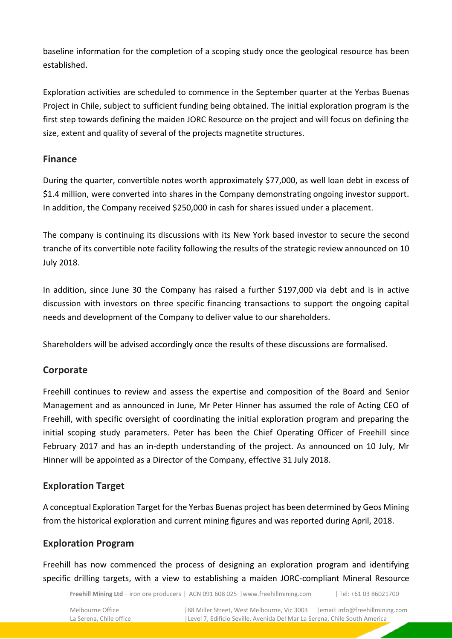baseline information for the completion of a scoping study once the geological resource has been established.

Exploration activities are scheduled to commence in the September quarter at the Yerbas Buenas Project in Chile, subject to sufficient funding being obtained. The initial exploration program is the first step towards defining the maiden JORC Resource on the project and will focus on defining the size, extent and quality of several of the projects magnetite structures.

## **Finance**

During the quarter, convertible notes worth approximately \$77,000, as well loan debt in excess of \$1.4 million, were converted into shares in the Company demonstrating ongoing investor support. In addition, the Company received \$250,000 in cash for shares issued under a placement.

The company is continuing its discussions with its New York based investor to secure the second tranche of its convertible note facility following the results of the strategic review announced on 10 July 2018.

In addition, since June 30 the Company has raised a further \$197,000 via debt and is in active discussion with investors on three specific financing transactions to support the ongoing capital needs and development of the Company to deliver value to our shareholders.

Shareholders will be advised accordingly once the results of these discussions are formalised.

## **Corporate**

Freehill continues to review and assess the expertise and composition of the Board and Senior Management and as announced in June, Mr Peter Hinner has assumed the role of Acting CEO of Freehill, with specific oversight of coordinating the initial exploration program and preparing the initial scoping study parameters. Peter has been the Chief Operating Officer of Freehill since February 2017 and has an in-depth understanding of the project. As announced on 10 July, Mr Hinner will be appointed as a Director of the Company, effective 31 July 2018.

# **Exploration Target**

A conceptual Exploration Target for the Yerbas Buenas project has been determined by Geos Mining from the historical exploration and current mining figures and was reported during April, 2018.

## **Exploration Program**

Freehill has now commenced the process of designing an exploration program and identifying specific drilling targets, with a view to establishing a maiden JORC-compliant Mineral Resource

**Freehill Mining Ltd** – iron ore producers | ACN 091 608 025 |www.freehillmining.com | Tel: +61 03 86021700

Melbourne Office | 88 Miller Street, West Melbourne, Vic 3003 | email: info@freehillmining.com<br>La Serena, Chile office | Level 7, Edificio Seville, Avenida Del Mar La Serena, Chile South America |Level 7, Edificio Seville, Avenida Del Mar La Serena, Chile South America